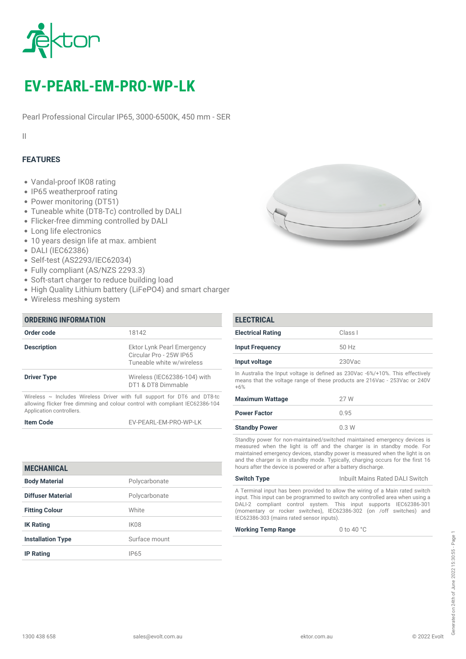

# *EV-PEARL-EM-PRO-WP-LK*

*Pearl Professional Circular IP65, 3000-6500K, 450 mm - SER*

*II*

## *FEATURES*

- *Vandal-proof IK08 rating*
- *IP65 weatherproof rating*
- *Power monitoring (DT51)*
- *Tuneable white (DT8-Tc) controlled by DALI*
- *Flicker-free dimming controlled by DALI*
- *Long life electronics*
- *10 years design life at max. ambient*
- *DALI (IEC62386)*
- *Self-test (AS2293/IEC62034)*
- *Fully compliant (AS/NZS 2293.3)*
- *Soft-start charger to reduce building load*
- *High Quality Lithium battery (LiFePO4) and smart charger*
- *Wireless meshing system*

| <b>ORDERING INFORMATION</b> |                                                                                                                                                               |
|-----------------------------|---------------------------------------------------------------------------------------------------------------------------------------------------------------|
| Order code                  | 18142                                                                                                                                                         |
| <b>Description</b>          | Ektor Lynk Pearl Emergency<br>Circular Pro - 25W IP65<br>Tuneable white w/wireless                                                                            |
| <b>Driver Type</b>          | Wireless (IEC62386-104) with<br>DT1 & DT8 Dimmable                                                                                                            |
|                             | Wireless $\sim$ Includes Wireless Driver with full support for DT6 and DT8-tc<br>allowing flicker free dimming and colour control with compliant IEC62386-104 |

*Application controllers.*

*Item Code EV-PEARL-EM-PRO-WP-LK*

| <b>MECHANICAL</b>        |                  |
|--------------------------|------------------|
| <b>Body Material</b>     | Polycarbonate    |
| Diffuser Material        | Polycarbonate    |
| <b>Fitting Colour</b>    | White            |
| <b>IK Rating</b>         | IK <sub>08</sub> |
| <b>Installation Type</b> | Surface mount    |
| <b>IP Rating</b>         | <b>IP65</b>      |



| <b>ELECTRICAL</b>        |           |
|--------------------------|-----------|
| <b>Electrical Rating</b> | Class I   |
| <b>Input Frequency</b>   | 50 Hz     |
| Input voltage            | $230$ Vac |

*In Australia the Input voltage is defined as 230Vac -6%/+10%. This effectively means that the voltage range of these products are 216Vac - 253Vac or 240V +6%*

| <b>Maximum Wattage</b> | 27 W |
|------------------------|------|
| <b>Power Factor</b>    | 0.95 |
| <b>Standby Power</b>   | 0.3W |

*Standby power for non-maintained/switched maintained emergency devices is measured when the light is off and the charger is in standby mode. For maintained emergency devices, standby power is measured when the light is on and the charger is in standby mode. Typically, charging occurs for the first 16 hours after the device is powered or after a battery discharge.*

| <b>Switch Type</b>                                                            | Inbuilt Mains Rated DALI Switch |  |
|-------------------------------------------------------------------------------|---------------------------------|--|
| A Terminal input has been provided to allow the wiring of a Main rated switch |                                 |  |
|                                                                               |                                 |  |

*input. This input can be programmed to switch any controlled area when using a DALI-2 compliant control system. This input supports IEC62386-301 (momentary or rocker switches), IEC62386-302 (on /off switches) and IEC62386-303 (mains rated sensor inputs).*

*Working Temp Range 0 to 40 °C*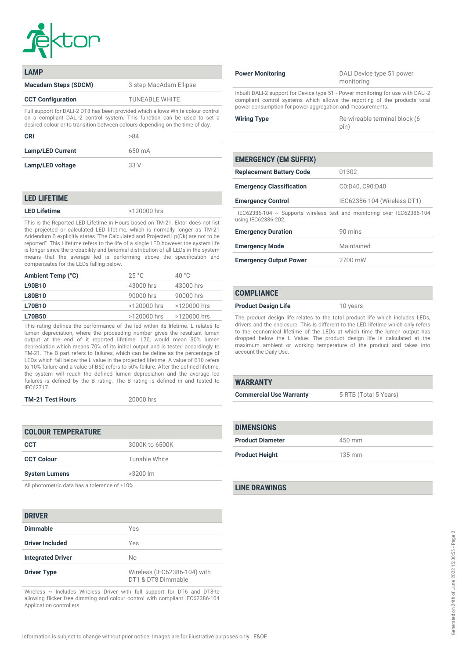

| <b>LAMP</b>                                                                                                                                                                                                                                  |                        |
|----------------------------------------------------------------------------------------------------------------------------------------------------------------------------------------------------------------------------------------------|------------------------|
| <b>Macadam Steps (SDCM)</b>                                                                                                                                                                                                                  | 3-step MacAdam Ellipse |
| <b>CCT Configuration</b>                                                                                                                                                                                                                     | <b>TUNEABLE WHITE</b>  |
| Full support for DALI-2 DT8 has been provided which allows White colour control<br>on a compliant DALI-2 control system. This function can be used to set a<br>desired colour or to transition between colours depending on the time of day. |                        |

| CRI                     | >84    |
|-------------------------|--------|
| <b>Lamp/LED Current</b> | 650 mA |
| Lamp/LED voltage        | 33 V   |

#### *LED LIFETIME*

*LED Lifetime >120000 hrs*

*This is the Reported LED Lifetime in Hours based on TM-21. Ektor does not list the projected or calculated LED lifetime, which is normally longer as TM-21 Addendum B explicitly states "The Calculated and Projected Lp(Dk) are not to be reported". This Lifetime refers to the life of a single LED however the system life is longer since the probability and binomial distribution of all LEDs in the system means that the average led is performing above the specification and compensates for the LEDs falling below.*

| Ambient Temp (°C) | 25 °C         | 40 $^{\circ}$ C |
|-------------------|---------------|-----------------|
| L90B10            | 43000 hrs     | 43000 hrs       |
| <b>L80B10</b>     | 90000 hrs     | 90000 hrs       |
| <b>L70B10</b>     | $>120000$ hrs | >120000 hrs     |
| <b>L70B50</b>     | $>120000$ hrs | >120000 hrs     |

*This rating defines the performance of the led within its lifetime. L relates to lumen depreciation, where the proceeding number gives the resultant lumen output at the end of it reported lifetime. L70, would mean 30% lumen depreciation which means 70% of its initial output and is tested accordingly to TM-21. The B part refers to failures, which can be define as the percentage of LEDs which fall below the L value in the projected lifetime. A value of B10 refers to 10% failure and a value of B50 refers to 50% failure. After the defined lifetime, the system will reach the defined lumen depreciation and the average led failures is defined by the B rating. The B rating is defined in and tested to IEC62717.*

*TM-21 Test Hours 20000 hrs*

| <b>COLOUR TEMPERATURE</b> |                |  |
|---------------------------|----------------|--|
| CCT                       | 3000K to 6500K |  |
| <b>CCT Colour</b>         | Tunable White  |  |
| <b>System Lumens</b>      | $>3200$ lm     |  |
|                           |                |  |

*All photometric data has a tolerance of ±10%.*

## *DRIVER*

| <b>Dimmable</b>          | Yes                                                |
|--------------------------|----------------------------------------------------|
| <b>Driver Included</b>   | Yes                                                |
| <b>Integrated Driver</b> | No                                                 |
| <b>Driver Type</b>       | Wireless (IEC62386-104) with<br>DT1 & DT8 Dimmable |

*Wireless ~ Includes Wireless Driver with full support for DT6 and DT8-tc allowing flicker free dimming and colour control with compliant IEC62386-104 Application controllers.*

|  | <b>Power Monitoring</b> |
|--|-------------------------|
|--|-------------------------|

*Power Monitoring DALI Device type 51 power monitoring*

*Inbuilt DALI-2 support for Device type 51 - Power monitoring for use with DALI-2 compliant control systems which allows the reporting of the products total power consumption for power aggregation and measurements.*

| <b>Wiring Type</b> | Re-wireable terminal block (6 |
|--------------------|-------------------------------|
|                    | pin)                          |

| <b>EMERGENCY (EM SUFFIX)</b>                                                                       |                             |
|----------------------------------------------------------------------------------------------------|-----------------------------|
| <b>Replacement Battery Code</b>                                                                    | 01302                       |
| <b>Emergency Classification</b>                                                                    | C0:D40, C90:D40             |
| <b>Emergency Control</b>                                                                           | IEC62386-104 (Wireless DT1) |
| IEC62386-104 $\sim$ Supports wireless test and monitoring over IEC62386-104<br>using IEC62386-202. |                             |
| <b>Emergency Duration</b>                                                                          | 90 mins                     |
| <b>Emergency Mode</b>                                                                              | Maintained                  |
| <b>Emergency Output Power</b>                                                                      | 2700 mW                     |

### *COMPLIANCE*

*Product Design Life 10 years*

*The product design life relates to the total product life which includes LEDs, drivers and the enclosure. This is different to the LED lifetime which only refers to the economical lifetime of the LEDs at which time the lumen output has dropped below the L Value. The product design life is calculated at the maximum ambient or working temperature of the product and takes into account the Daily Use.*

| <b>WARRANTY</b>                |                       |
|--------------------------------|-----------------------|
| <b>Commercial Use Warranty</b> | 5 RTB (Total 5 Years) |
|                                |                       |

| <b>DIMENSIONS</b>       |                  |
|-------------------------|------------------|
| <b>Product Diameter</b> | 450 mm           |
| <b>Product Height</b>   | $135 \text{ mm}$ |

#### *LINE DRAWINGS*